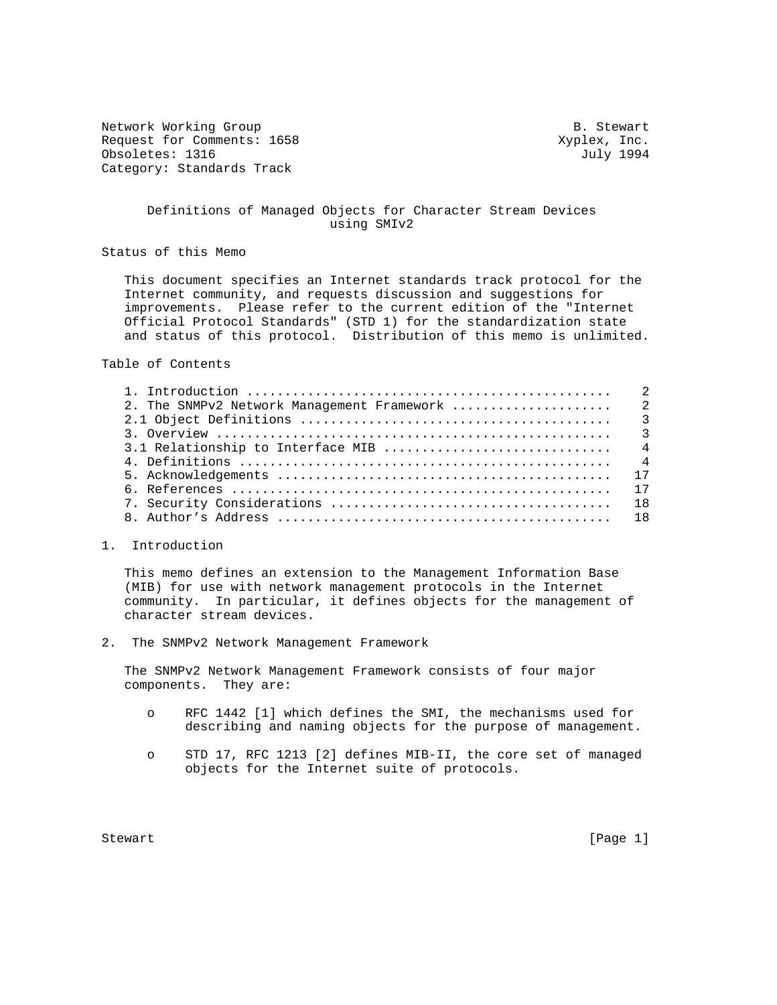Network Working Group and the set of the set of the set of the Stewart B. Stewart Request for Comments: 1658  $Xyplex, Inc.$ Obsoletes: 1316 July 1994 Category: Standards Track

## Definitions of Managed Objects for Character Stream Devices using SMIv2

Status of this Memo

 This document specifies an Internet standards track protocol for the Internet community, and requests discussion and suggestions for improvements. Please refer to the current edition of the "Internet Official Protocol Standards" (STD 1) for the standardization state and status of this protocol. Distribution of this memo is unlimited.

Table of Contents

#### 1. Introduction

 This memo defines an extension to the Management Information Base (MIB) for use with network management protocols in the Internet community. In particular, it defines objects for the management of character stream devices.

2. The SNMPv2 Network Management Framework

 The SNMPv2 Network Management Framework consists of four major components. They are:

- o RFC 1442 [1] which defines the SMI, the mechanisms used for describing and naming objects for the purpose of management.
- o STD 17, RFC 1213 [2] defines MIB-II, the core set of managed objects for the Internet suite of protocols.

Stewart [Page 1]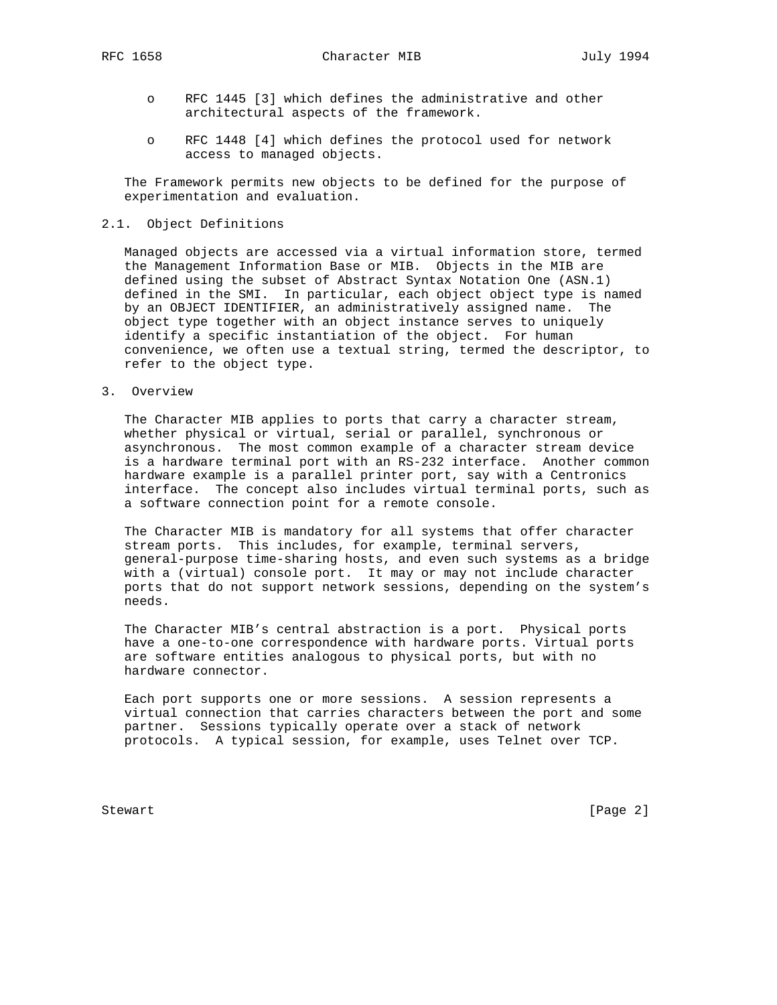RFC 1658 Character MIB July 1994

- o RFC 1445 [3] which defines the administrative and other architectural aspects of the framework.
- o RFC 1448 [4] which defines the protocol used for network access to managed objects.

 The Framework permits new objects to be defined for the purpose of experimentation and evaluation.

## 2.1. Object Definitions

 Managed objects are accessed via a virtual information store, termed the Management Information Base or MIB. Objects in the MIB are defined using the subset of Abstract Syntax Notation One (ASN.1) defined in the SMI. In particular, each object object type is named by an OBJECT IDENTIFIER, an administratively assigned name. The object type together with an object instance serves to uniquely identify a specific instantiation of the object. For human convenience, we often use a textual string, termed the descriptor, to refer to the object type.

3. Overview

 The Character MIB applies to ports that carry a character stream, whether physical or virtual, serial or parallel, synchronous or asynchronous. The most common example of a character stream device is a hardware terminal port with an RS-232 interface. Another common hardware example is a parallel printer port, say with a Centronics interface. The concept also includes virtual terminal ports, such as a software connection point for a remote console.

 The Character MIB is mandatory for all systems that offer character stream ports. This includes, for example, terminal servers, general-purpose time-sharing hosts, and even such systems as a bridge with a (virtual) console port. It may or may not include character ports that do not support network sessions, depending on the system's needs.

 The Character MIB's central abstraction is a port. Physical ports have a one-to-one correspondence with hardware ports. Virtual ports are software entities analogous to physical ports, but with no hardware connector.

 Each port supports one or more sessions. A session represents a virtual connection that carries characters between the port and some partner. Sessions typically operate over a stack of network protocols. A typical session, for example, uses Telnet over TCP.

Stewart [Page 2]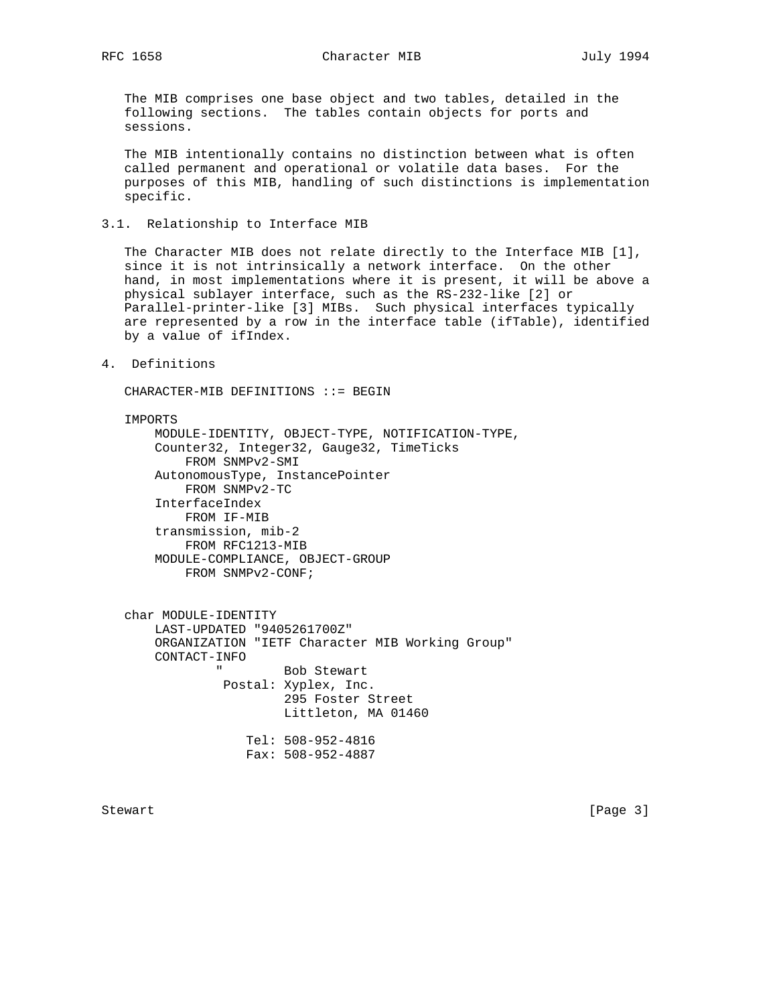RFC 1658 Character MIB July 1994

 The MIB comprises one base object and two tables, detailed in the following sections. The tables contain objects for ports and sessions.

 The MIB intentionally contains no distinction between what is often called permanent and operational or volatile data bases. For the purposes of this MIB, handling of such distinctions is implementation specific.

3.1. Relationship to Interface MIB

 The Character MIB does not relate directly to the Interface MIB [1], since it is not intrinsically a network interface. On the other hand, in most implementations where it is present, it will be above a physical sublayer interface, such as the RS-232-like [2] or Parallel-printer-like [3] MIBs. Such physical interfaces typically are represented by a row in the interface table (ifTable), identified by a value of ifIndex.

4. Definitions

CHARACTER-MIB DEFINITIONS ::= BEGIN

#### IMPORTS

 MODULE-IDENTITY, OBJECT-TYPE, NOTIFICATION-TYPE, Counter32, Integer32, Gauge32, TimeTicks FROM SNMPv2-SMI AutonomousType, InstancePointer FROM SNMPv2-TC InterfaceIndex FROM IF-MIB transmission, mib-2 FROM RFC1213-MIB MODULE-COMPLIANCE, OBJECT-GROUP FROM SNMPv2-CONF;

 char MODULE-IDENTITY LAST-UPDATED "9405261700Z" ORGANIZATION "IETF Character MIB Working Group" CONTACT-INFO Bob Stewart Postal: Xyplex, Inc. 295 Foster Street Littleton, MA 01460 Tel: 508-952-4816 Fax: 508-952-4887

Stewart [Page 3]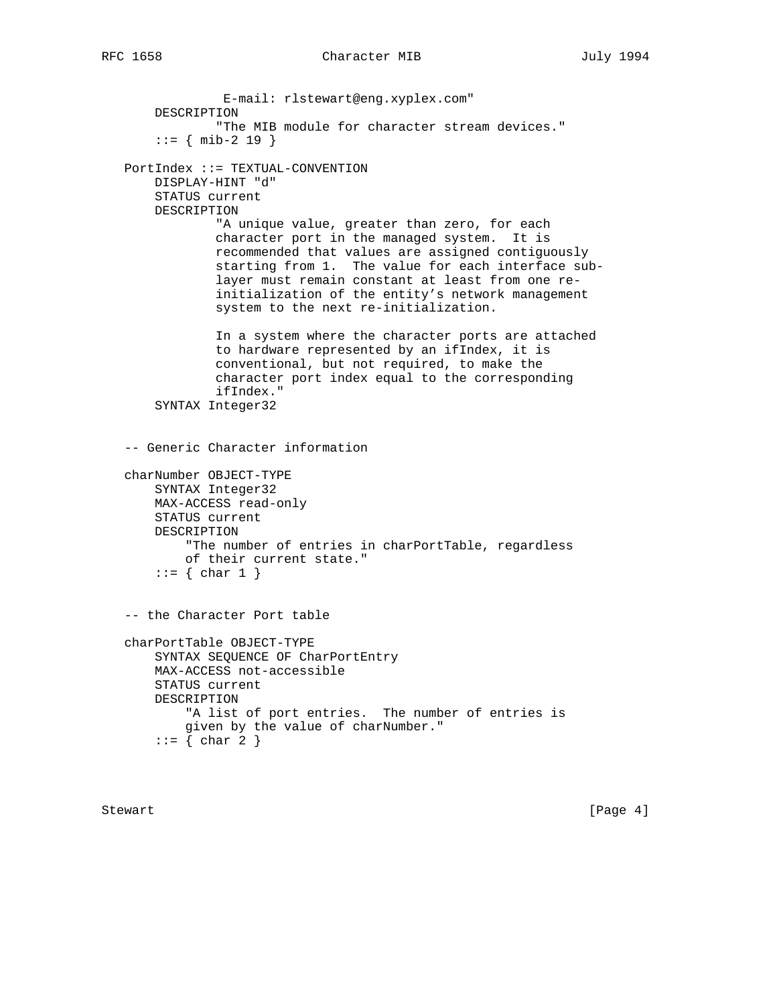E-mail: rlstewart@eng.xyplex.com" DESCRIPTION "The MIB module for character stream devices."  $::=$  { mib-2 19 } PortIndex ::= TEXTUAL-CONVENTION DISPLAY-HINT "d" STATUS current DESCRIPTION "A unique value, greater than zero, for each character port in the managed system. It is recommended that values are assigned contiguously starting from 1. The value for each interface sub layer must remain constant at least from one re initialization of the entity's network management system to the next re-initialization. In a system where the character ports are attached to hardware represented by an ifIndex, it is conventional, but not required, to make the character port index equal to the corresponding ifIndex." SYNTAX Integer32 -- Generic Character information charNumber OBJECT-TYPE SYNTAX Integer32 MAX-ACCESS read-only STATUS current DESCRIPTION "The number of entries in charPortTable, regardless of their current state."  $::=$  { char 1 } -- the Character Port table charPortTable OBJECT-TYPE SYNTAX SEQUENCE OF CharPortEntry MAX-ACCESS not-accessible STATUS current DESCRIPTION "A list of port entries. The number of entries is given by the value of charNumber."  $::= \{ char 2 \}$ 

Stewart [Page 4]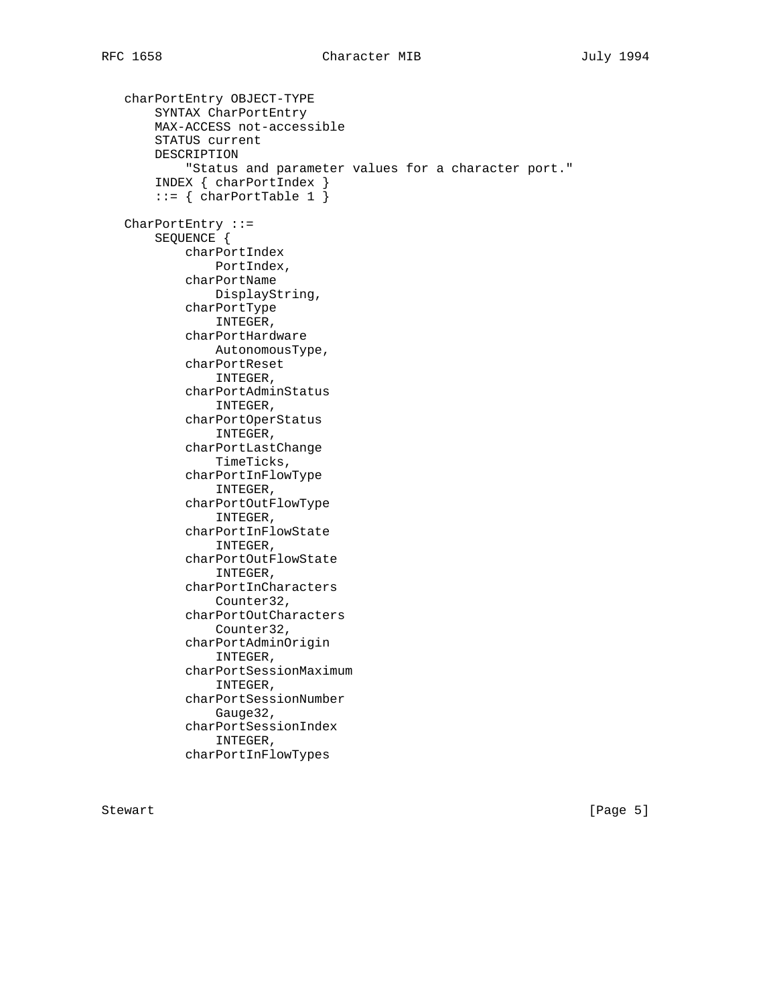```
 charPortEntry OBJECT-TYPE
     SYNTAX CharPortEntry
     MAX-ACCESS not-accessible
     STATUS current
     DESCRIPTION
         "Status and parameter values for a character port."
     INDEX { charPortIndex }
    ::= \{ charPortTable 1 \} CharPortEntry ::=
     SEQUENCE {
         charPortIndex
             PortIndex,
         charPortName
             DisplayString,
         charPortType
             INTEGER,
         charPortHardware
             AutonomousType,
         charPortReset
             INTEGER,
         charPortAdminStatus
             INTEGER,
         charPortOperStatus
             INTEGER,
         charPortLastChange
             TimeTicks,
         charPortInFlowType
             INTEGER,
         charPortOutFlowType
             INTEGER,
         charPortInFlowState
             INTEGER,
         charPortOutFlowState
             INTEGER,
         charPortInCharacters
             Counter32,
         charPortOutCharacters
             Counter32,
         charPortAdminOrigin
             INTEGER,
         charPortSessionMaximum
             INTEGER,
         charPortSessionNumber
             Gauge32,
         charPortSessionIndex
             INTEGER,
         charPortInFlowTypes
```
Stewart [Page 5]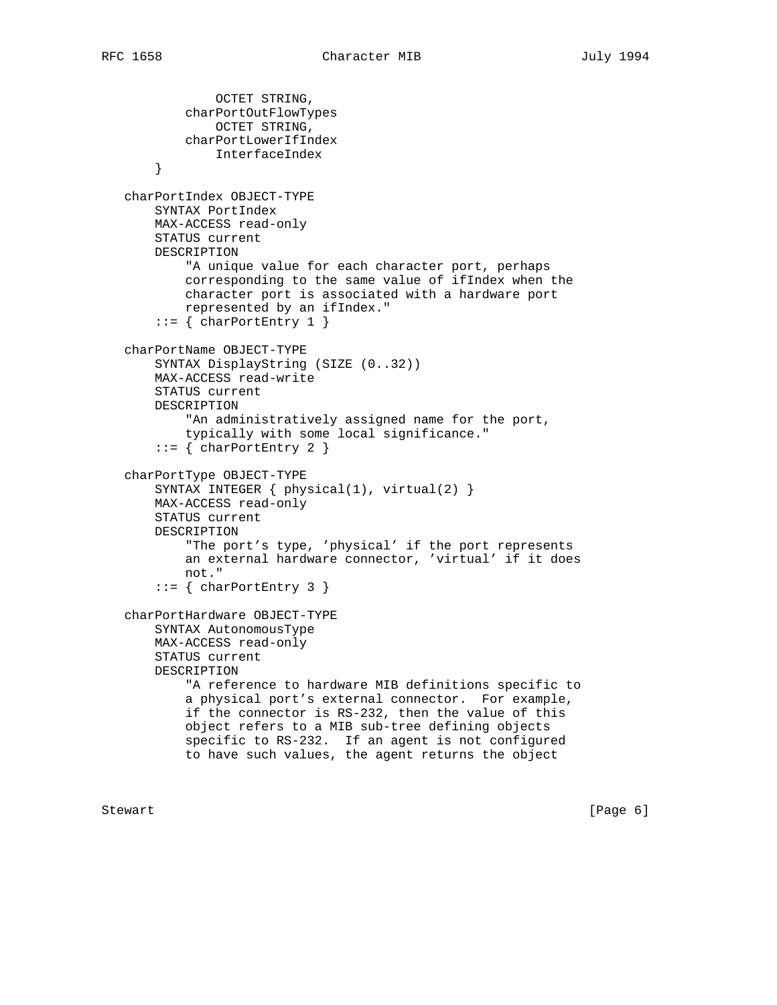```
 OCTET STRING,
         charPortOutFlowTypes
             OCTET STRING,
         charPortLowerIfIndex
             InterfaceIndex
     }
 charPortIndex OBJECT-TYPE
     SYNTAX PortIndex
    MAX-ACCESS read-only
    STATUS current
    DESCRIPTION
         "A unique value for each character port, perhaps
         corresponding to the same value of ifIndex when the
         character port is associated with a hardware port
         represented by an ifIndex."
    ::= { charPortEntry 1 }
 charPortName OBJECT-TYPE
    SYNTAX DisplayString (SIZE (0..32))
    MAX-ACCESS read-write
    STATUS current
    DESCRIPTION
        "An administratively assigned name for the port,
         typically with some local significance."
    ::= { charPortEntry 2 }
 charPortType OBJECT-TYPE
     SYNTAX INTEGER { physical(1), virtual(2) }
    MAX-ACCESS read-only
    STATUS current
    DESCRIPTION
         "The port's type, 'physical' if the port represents
         an external hardware connector, 'virtual' if it does
         not."
    ::= { charPortEntry 3 }
 charPortHardware OBJECT-TYPE
    SYNTAX AutonomousType
    MAX-ACCESS read-only
    STATUS current
    DESCRIPTION
         "A reference to hardware MIB definitions specific to
         a physical port's external connector. For example,
         if the connector is RS-232, then the value of this
         object refers to a MIB sub-tree defining objects
         specific to RS-232. If an agent is not configured
         to have such values, the agent returns the object
```
Stewart [Page 6] [Page 6] [Page 6] [Page 6] [Page 6] [Page 6] [Page 6] [Page 6] [Page 6] [Page 6] [Page 6] [Page 6] [Page 6] [Page 6] [Page 6] [Page 6] [Page 6] [Page 6] [Page 6] [Page 6] [Page 6] [Page 6] [Page 6] [Page 6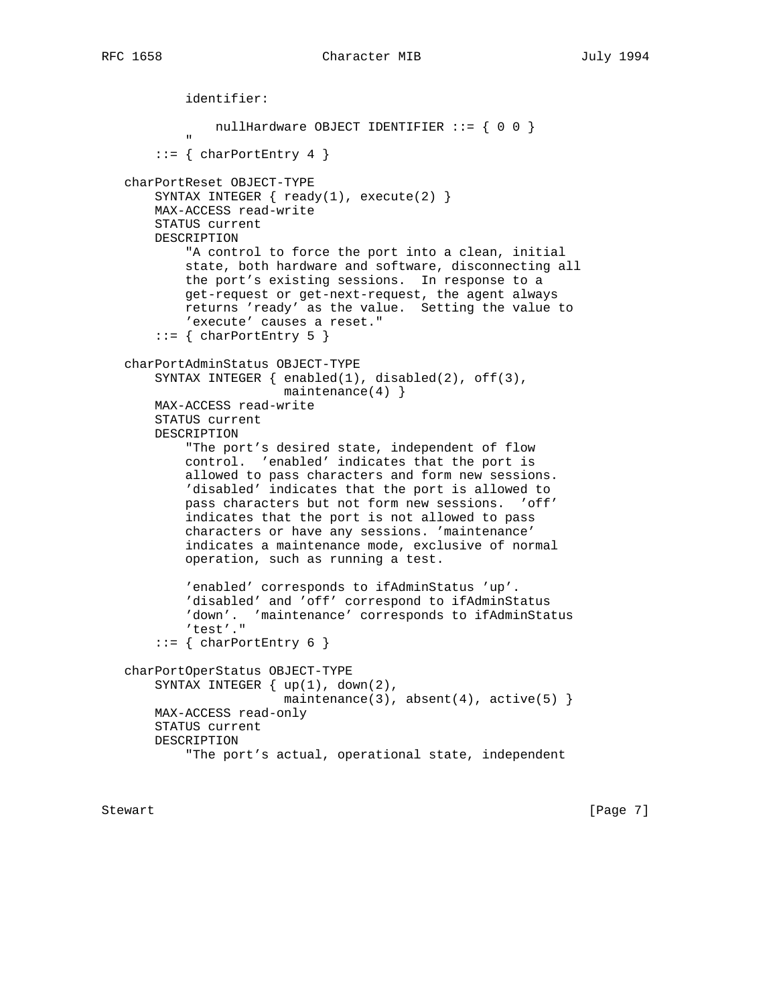```
 identifier:
                 nullHardware OBJECT IDENTIFIER ::= \{ 0 0 \}" "The Contract of the Contract of the Contract of the Contract of the Contract of the Contract of the Contract of the Contract of the Contract of the Contract of the Contract of the Contract of the Contract of the Contrac
        ::= { charPortEntry 4 }
    charPortReset OBJECT-TYPE
       SYNTAX INTEGER \{ \text{ready}(1), \text{ execute}(2) \} MAX-ACCESS read-write
        STATUS current
        DESCRIPTION
              "A control to force the port into a clean, initial
             state, both hardware and software, disconnecting all
             the port's existing sessions. In response to a
             get-request or get-next-request, the agent always
             returns 'ready' as the value. Setting the value to
             'execute' causes a reset."
        ::= { charPortEntry 5 }
    charPortAdminStatus OBJECT-TYPE
       SYNTAX INTEGER \{ \text{enabeled}(1), \text{disabeled}(2), \text{off}(3), \} maintenance(4) }
        MAX-ACCESS read-write
        STATUS current
        DESCRIPTION
              "The port's desired state, independent of flow
             control. 'enabled' indicates that the port is
             allowed to pass characters and form new sessions.
              'disabled' indicates that the port is allowed to
             pass characters but not form new sessions. 'off'
             indicates that the port is not allowed to pass
             characters or have any sessions. 'maintenance'
              indicates a maintenance mode, exclusive of normal
             operation, such as running a test.
              'enabled' corresponds to ifAdminStatus 'up'.
              'disabled' and 'off' correspond to ifAdminStatus
              'down'. 'maintenance' corresponds to ifAdminStatus
              'test'."
        ::= { charPortEntry 6 }
    charPortOperStatus OBJECT-TYPE
         SYNTAX INTEGER { up(1), down(2),
                            maintenance(3), absent(4), active(5) }
        MAX-ACCESS read-only
        STATUS current
        DESCRIPTION
              "The port's actual, operational state, independent
```
Stewart [Page 7]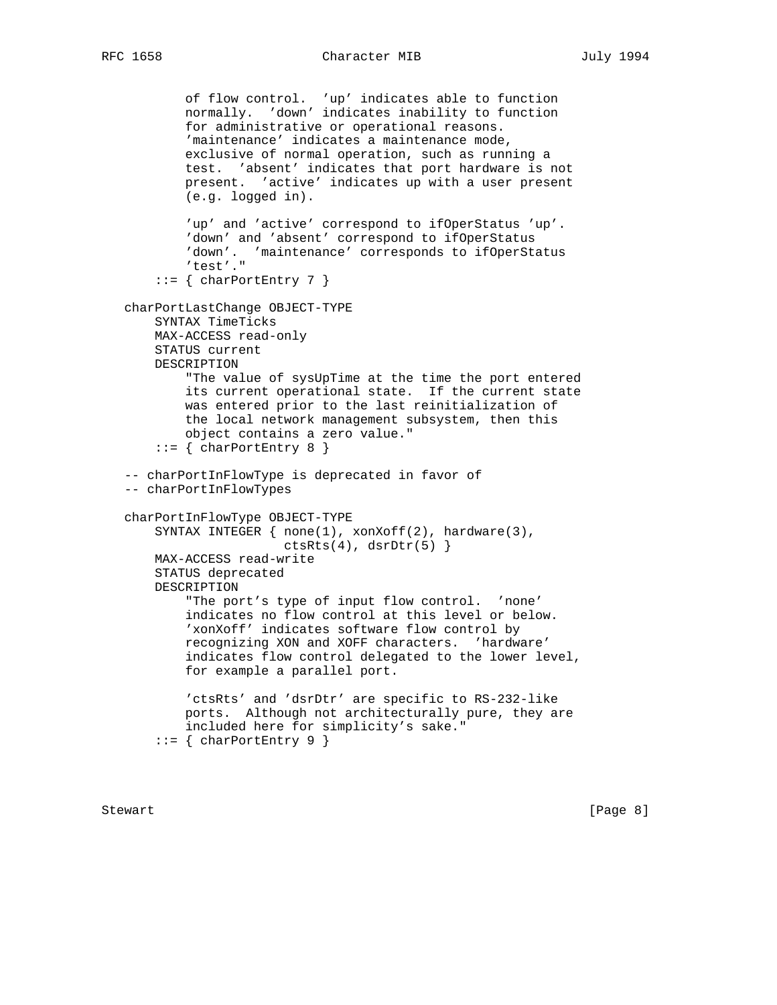```
 of flow control. 'up' indicates able to function
         normally. 'down' indicates inability to function
         for administrative or operational reasons.
         'maintenance' indicates a maintenance mode,
         exclusive of normal operation, such as running a
         test. 'absent' indicates that port hardware is not
         present. 'active' indicates up with a user present
         (e.g. logged in).
         'up' and 'active' correspond to ifOperStatus 'up'.
         'down' and 'absent' correspond to ifOperStatus
         'down'. 'maintenance' corresponds to ifOperStatus
         'test'."
    ::= { charPortEntry 7 }
 charPortLastChange OBJECT-TYPE
     SYNTAX TimeTicks
    MAX-ACCESS read-only
    STATUS current
    DESCRIPTION
         "The value of sysUpTime at the time the port entered
         its current operational state. If the current state
         was entered prior to the last reinitialization of
         the local network management subsystem, then this
         object contains a zero value."
    ::= { charPortEntry 8 }
 -- charPortInFlowType is deprecated in favor of
 -- charPortInFlowTypes
 charPortInFlowType OBJECT-TYPE
     SYNTAX INTEGER { none(1), xonXoff(2), hardware(3),
                     ctsRts(4), dsrDtr(5) }
    MAX-ACCESS read-write
     STATUS deprecated
     DESCRIPTION
         "The port's type of input flow control. 'none'
         indicates no flow control at this level or below.
         'xonXoff' indicates software flow control by
         recognizing XON and XOFF characters. 'hardware'
         indicates flow control delegated to the lower level,
         for example a parallel port.
         'ctsRts' and 'dsrDtr' are specific to RS-232-like
         ports. Although not architecturally pure, they are
         included here for simplicity's sake."
    ::= { charPortEntry 9 }
```
Stewart [Page 8]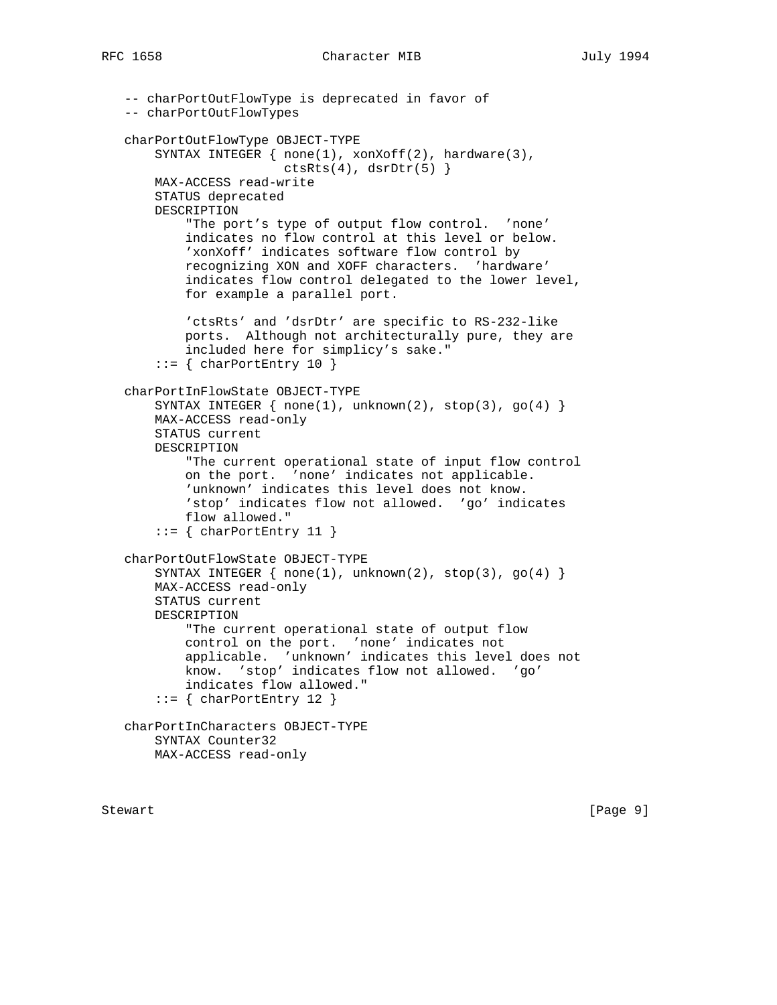```
 -- charPortOutFlowType is deprecated in favor of
 -- charPortOutFlowTypes
 charPortOutFlowType OBJECT-TYPE
     SYNTAX INTEGER { none(1), xonXoff(2), hardware(3),
                     ctsRts(4), dsrDtr(5) }
    MAX-ACCESS read-write
    STATUS deprecated
     DESCRIPTION
         "The port's type of output flow control. 'none'
         indicates no flow control at this level or below.
         'xonXoff' indicates software flow control by
         recognizing XON and XOFF characters. 'hardware'
         indicates flow control delegated to the lower level,
         for example a parallel port.
         'ctsRts' and 'dsrDtr' are specific to RS-232-like
         ports. Although not architecturally pure, they are
         included here for simplicy's sake."
     ::= { charPortEntry 10 }
 charPortInFlowState OBJECT-TYPE
    SYNTAX INTEGER \{ none(1), unknown(2), stop(3), go(4) \} MAX-ACCESS read-only
    STATUS current
    DESCRIPTION
         "The current operational state of input flow control
         on the port. 'none' indicates not applicable.
         'unknown' indicates this level does not know.
         'stop' indicates flow not allowed. 'go' indicates
         flow allowed."
    ::= { charPortEntry 11 }
 charPortOutFlowState OBJECT-TYPE
    SYNTAX INTEGER \{ none(1), unknown(2), stop(3), go(4) \} MAX-ACCESS read-only
    STATUS current
     DESCRIPTION
         "The current operational state of output flow
         control on the port. 'none' indicates not
         applicable. 'unknown' indicates this level does not
         know. 'stop' indicates flow not allowed. 'go'
         indicates flow allowed."
    ::= { charPortEntry 12 }
 charPortInCharacters OBJECT-TYPE
    SYNTAX Counter32
    MAX-ACCESS read-only
```
Stewart [Page 9]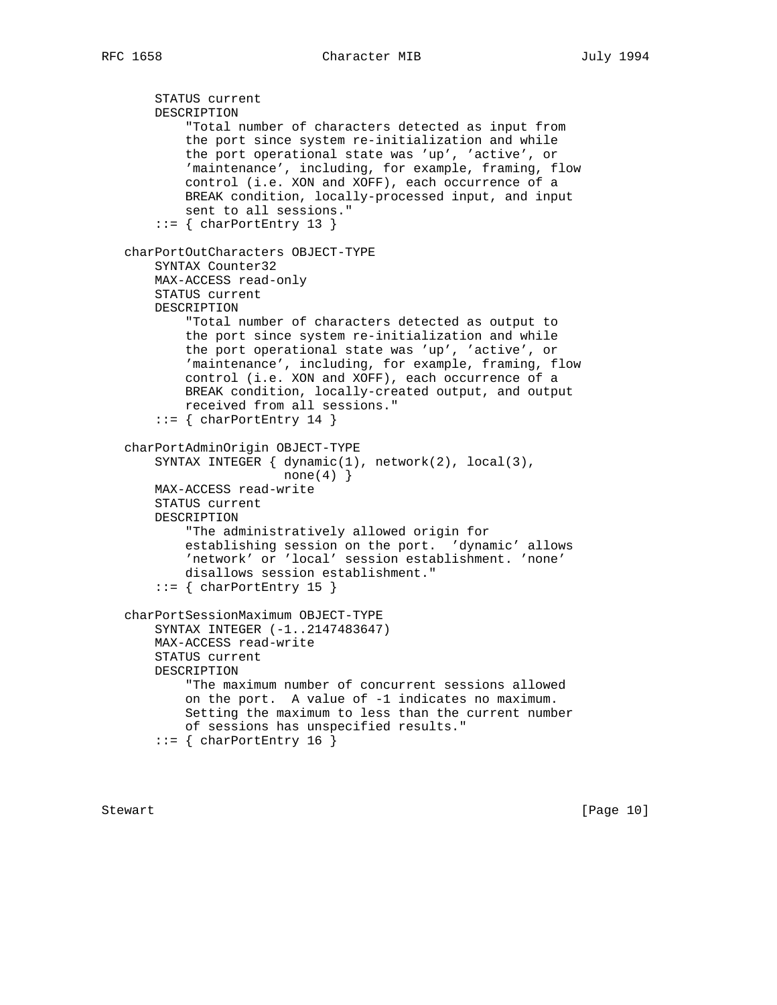```
 STATUS current
     DESCRIPTION
         "Total number of characters detected as input from
         the port since system re-initialization and while
         the port operational state was 'up', 'active', or
         'maintenance', including, for example, framing, flow
         control (i.e. XON and XOFF), each occurrence of a
         BREAK condition, locally-processed input, and input
         sent to all sessions."
    ::= { charPortEntry 13 }
 charPortOutCharacters OBJECT-TYPE
     SYNTAX Counter32
    MAX-ACCESS read-only
    STATUS current
     DESCRIPTION
         "Total number of characters detected as output to
         the port since system re-initialization and while
         the port operational state was 'up', 'active', or
         'maintenance', including, for example, framing, flow
         control (i.e. XON and XOFF), each occurrence of a
         BREAK condition, locally-created output, and output
         received from all sessions."
    ::= { charPortEntry 14 }
 charPortAdminOrigin OBJECT-TYPE
     SYNTAX INTEGER { dynamic(1), network(2), local(3),
                     none(4)}
    MAX-ACCESS read-write
     STATUS current
    DESCRIPTION
         "The administratively allowed origin for
         establishing session on the port. 'dynamic' allows
         'network' or 'local' session establishment. 'none'
         disallows session establishment."
    ::= { charPortEntry 15 }
 charPortSessionMaximum OBJECT-TYPE
     SYNTAX INTEGER (-1..2147483647)
     MAX-ACCESS read-write
     STATUS current
    DESCRIPTION
         "The maximum number of concurrent sessions allowed
         on the port. A value of -1 indicates no maximum.
         Setting the maximum to less than the current number
         of sessions has unspecified results."
    ::= { charPortEntry 16 }
```
Stewart [Page 10]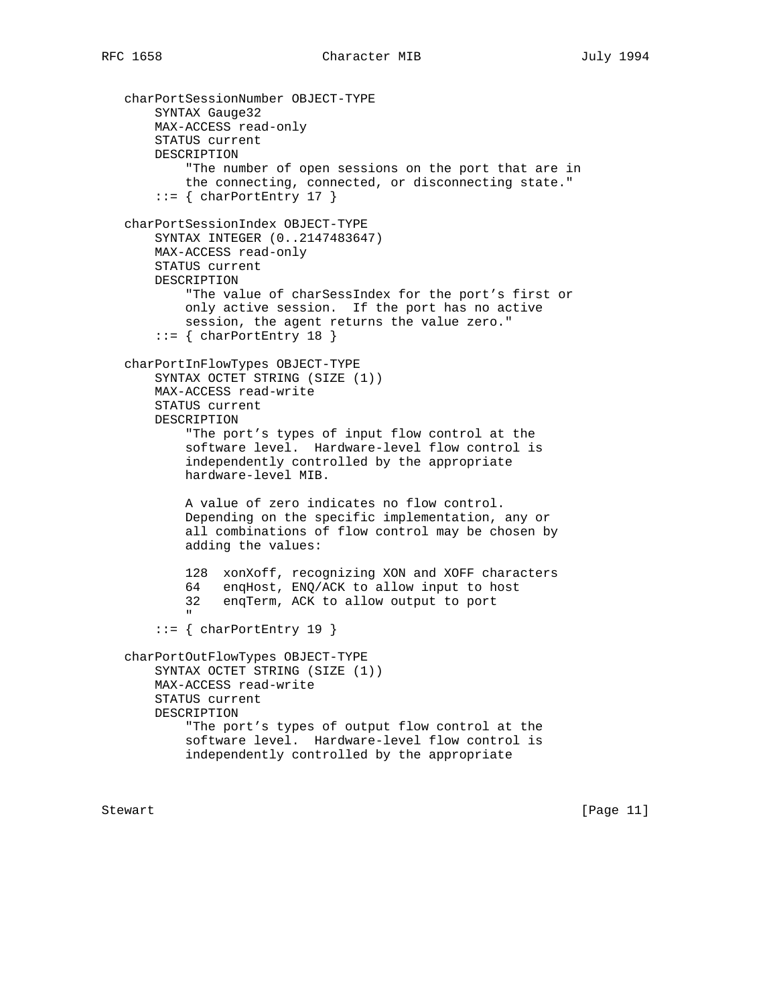charPortSessionNumber OBJECT-TYPE SYNTAX Gauge32 MAX-ACCESS read-only STATUS current DESCRIPTION "The number of open sessions on the port that are in the connecting, connected, or disconnecting state."  $::=$  { charPortEntry 17 } charPortSessionIndex OBJECT-TYPE SYNTAX INTEGER (0..2147483647) MAX-ACCESS read-only STATUS current DESCRIPTION "The value of charSessIndex for the port's first or only active session. If the port has no active session, the agent returns the value zero."  $::=$  { charPortEntry 18 } charPortInFlowTypes OBJECT-TYPE SYNTAX OCTET STRING (SIZE (1)) MAX-ACCESS read-write STATUS current DESCRIPTION "The port's types of input flow control at the software level. Hardware-level flow control is independently controlled by the appropriate hardware-level MIB. A value of zero indicates no flow control. Depending on the specific implementation, any or all combinations of flow control may be chosen by adding the values: 128 xonXoff, recognizing XON and XOFF characters 64 enqHost, ENQ/ACK to allow input to host 32 enqTerm, ACK to allow output to port " "The Contract of the Contract of the Contract of the Contract of the Contract of the Contract of the Contract of the Contract of the Contract of the Contract of the Contract of the Contract of the Contract of the Contrac ::= { charPortEntry 19 } charPortOutFlowTypes OBJECT-TYPE SYNTAX OCTET STRING (SIZE (1)) MAX-ACCESS read-write STATUS current DESCRIPTION "The port's types of output flow control at the software level. Hardware-level flow control is independently controlled by the appropriate

Stewart [Page 11]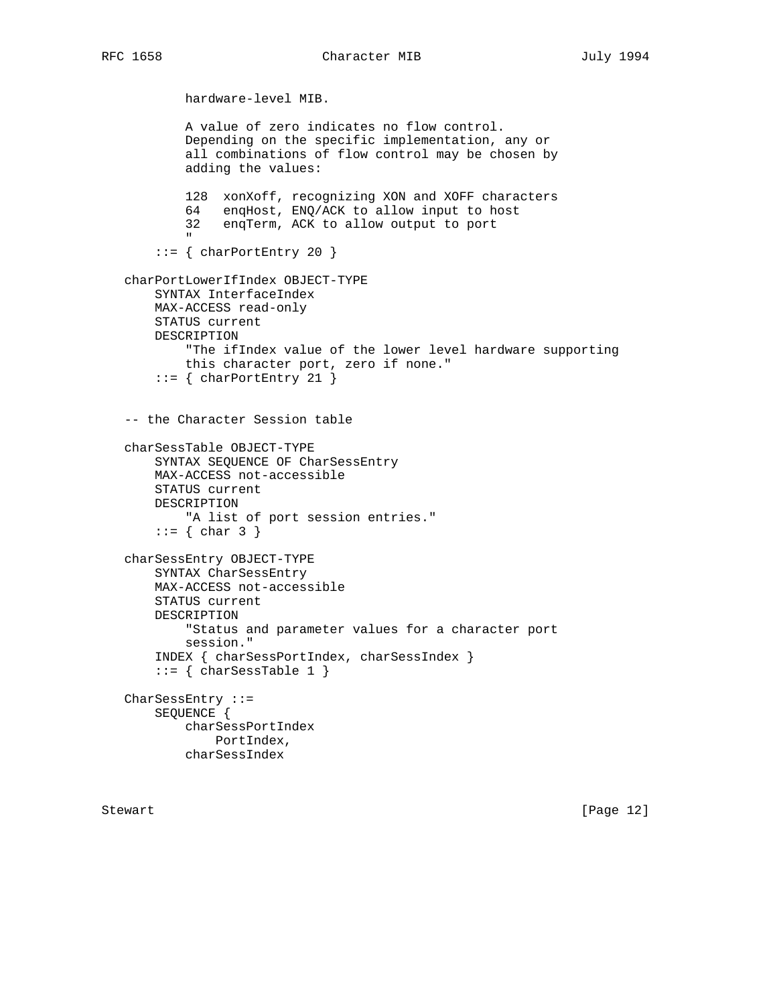```
 hardware-level MIB.
              A value of zero indicates no flow control.
              Depending on the specific implementation, any or
              all combinations of flow control may be chosen by
              adding the values:
              128 xonXoff, recognizing XON and XOFF characters
              64 enqHost, ENQ/ACK to allow input to host
              32 enqTerm, ACK to allow output to port
" "The Contract of the Contract of the Contract of the Contract of the Contract of the Contract of the Contract of the Contract of the Contract of the Contract of the Contract of the Contract of the Contract of the Contrac
        ::= { charPortEntry 20 }
    charPortLowerIfIndex OBJECT-TYPE
         SYNTAX InterfaceIndex
         MAX-ACCESS read-only
         STATUS current
         DESCRIPTION
              "The ifIndex value of the lower level hardware supporting
              this character port, zero if none."
        ::= { charPortEntry 21 }
    -- the Character Session table
    charSessTable OBJECT-TYPE
         SYNTAX SEQUENCE OF CharSessEntry
         MAX-ACCESS not-accessible
         STATUS current
         DESCRIPTION
              "A list of port session entries."
        ::= \{ char 3 \} charSessEntry OBJECT-TYPE
         SYNTAX CharSessEntry
         MAX-ACCESS not-accessible
         STATUS current
         DESCRIPTION
              "Status and parameter values for a character port
              session."
         INDEX { charSessPortIndex, charSessIndex }
        ::= { charSessTable 1 }
    CharSessEntry ::=
         SEQUENCE {
              charSessPortIndex
                  PortIndex,
              charSessIndex
```
Stewart [Page 12]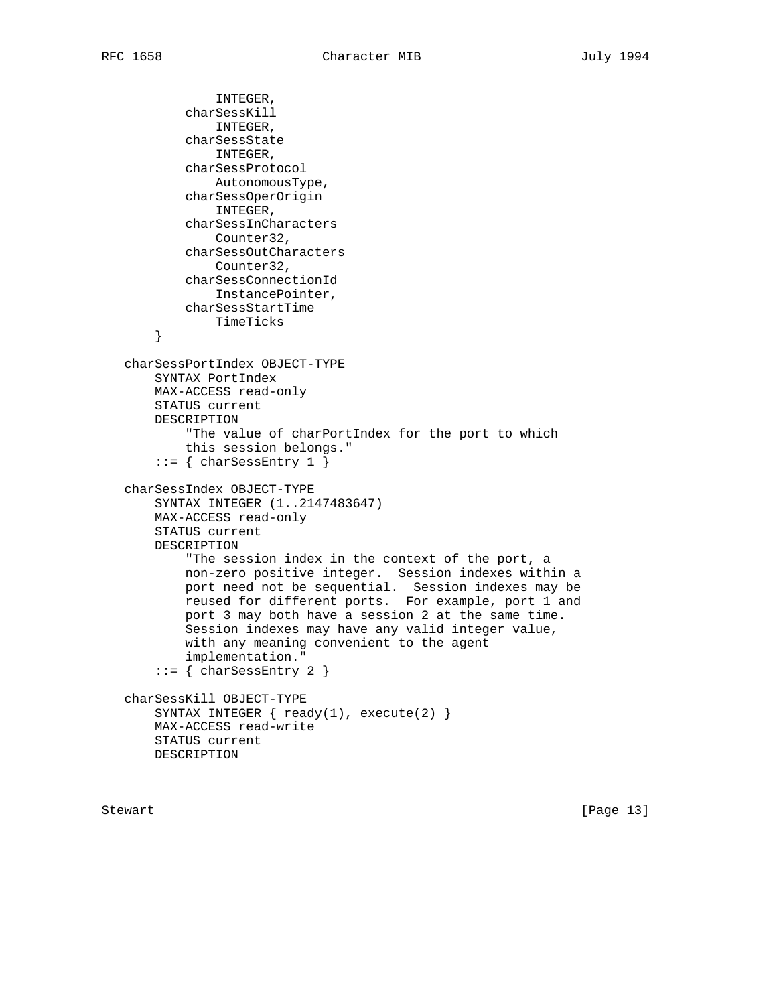```
 INTEGER,
         charSessKill
             INTEGER,
         charSessState
             INTEGER,
         charSessProtocol
            AutonomousType,
         charSessOperOrigin
             INTEGER,
         charSessInCharacters
             Counter32,
         charSessOutCharacters
            Counter32,
         charSessConnectionId
             InstancePointer,
         charSessStartTime
             TimeTicks
     }
 charSessPortIndex OBJECT-TYPE
    SYNTAX PortIndex
    MAX-ACCESS read-only
    STATUS current
    DESCRIPTION
         "The value of charPortIndex for the port to which
         this session belongs."
     ::= { charSessEntry 1 }
 charSessIndex OBJECT-TYPE
     SYNTAX INTEGER (1..2147483647)
    MAX-ACCESS read-only
    STATUS current
    DESCRIPTION
         "The session index in the context of the port, a
         non-zero positive integer. Session indexes within a
         port need not be sequential. Session indexes may be
         reused for different ports. For example, port 1 and
         port 3 may both have a session 2 at the same time.
         Session indexes may have any valid integer value,
         with any meaning convenient to the agent
         implementation."
     ::= { charSessEntry 2 }
 charSessKill OBJECT-TYPE
   SYNTAX INTEGER \{ ready(1), execute(2) \} MAX-ACCESS read-write
    STATUS current
    DESCRIPTION
```
Stewart [Page 13]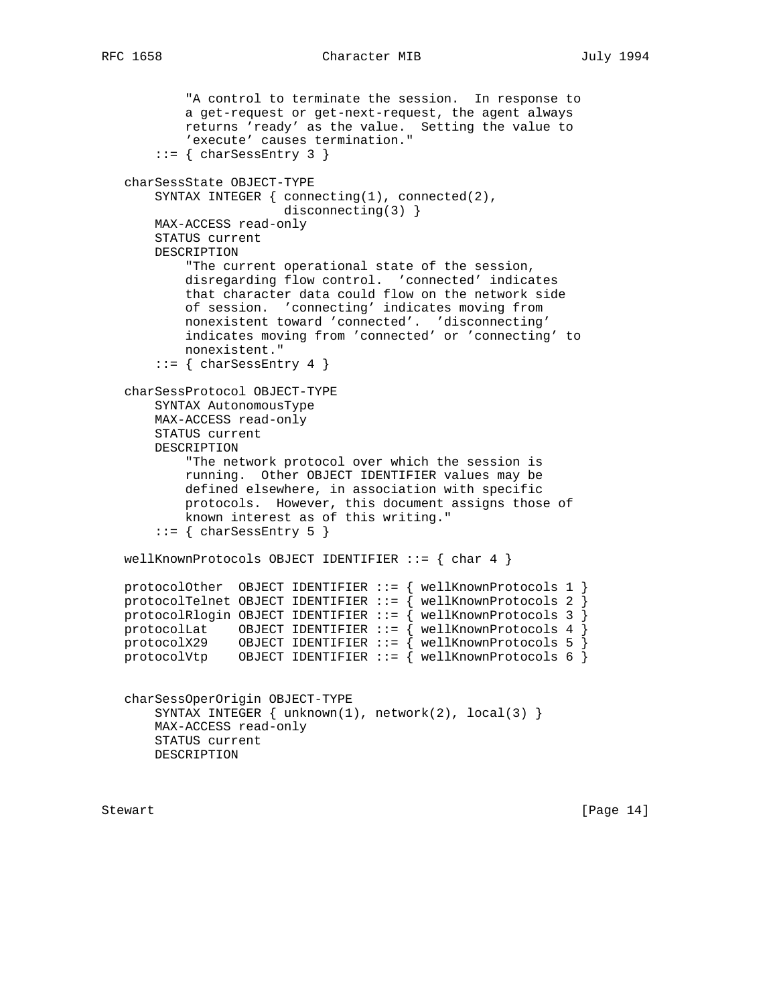```
 "A control to terminate the session. In response to
           a get-request or get-next-request, the agent always
           returns 'ready' as the value. Setting the value to
            'execute' causes termination."
       ::= { charSessEntry 3 }
   charSessState OBJECT-TYPE
       SYNTAX INTEGER { connecting(1), connected(2),
                         disconnecting(3) }
       MAX-ACCESS read-only
       STATUS current
       DESCRIPTION
            "The current operational state of the session,
           disregarding flow control. 'connected' indicates
            that character data could flow on the network side
           of session. 'connecting' indicates moving from
           nonexistent toward 'connected'. 'disconnecting'
           indicates moving from 'connected' or 'connecting' to
           nonexistent."
       ::= { charSessEntry 4 }
   charSessProtocol OBJECT-TYPE
       SYNTAX AutonomousType
       MAX-ACCESS read-only
       STATUS current
       DESCRIPTION
            "The network protocol over which the session is
           running. Other OBJECT IDENTIFIER values may be
           defined elsewhere, in association with specific
           protocols. However, this document assigns those of
           known interest as of this writing."
       ::= { charSessEntry 5 }
   wellKnownProtocols OBJECT IDENTIFIER ::= { char 4 }
   protocolOther OBJECT IDENTIFIER ::= { wellKnownProtocols 1 }
  protocolTelnet OBJECT IDENTIFIER ::= { wellKnownProtocols 2 }
 protocolRlogin OBJECT IDENTIFIER ::= { wellKnownProtocols 3 }
 protocolLat OBJECT IDENTIFIER ::= { wellKnownProtocols 4 }
 protocolX29 OBJECT IDENTIFIER ::= { wellKnownProtocols 5 }
 protocolVtp OBJECT IDENTIFIER ::= { wellKnownProtocols 6 }
   charSessOperOrigin OBJECT-TYPE
      SYNTAX INTEGER \{ unknown(1), network(2), local(3) \} MAX-ACCESS read-only
       STATUS current
       DESCRIPTION
```
Stewart [Page 14]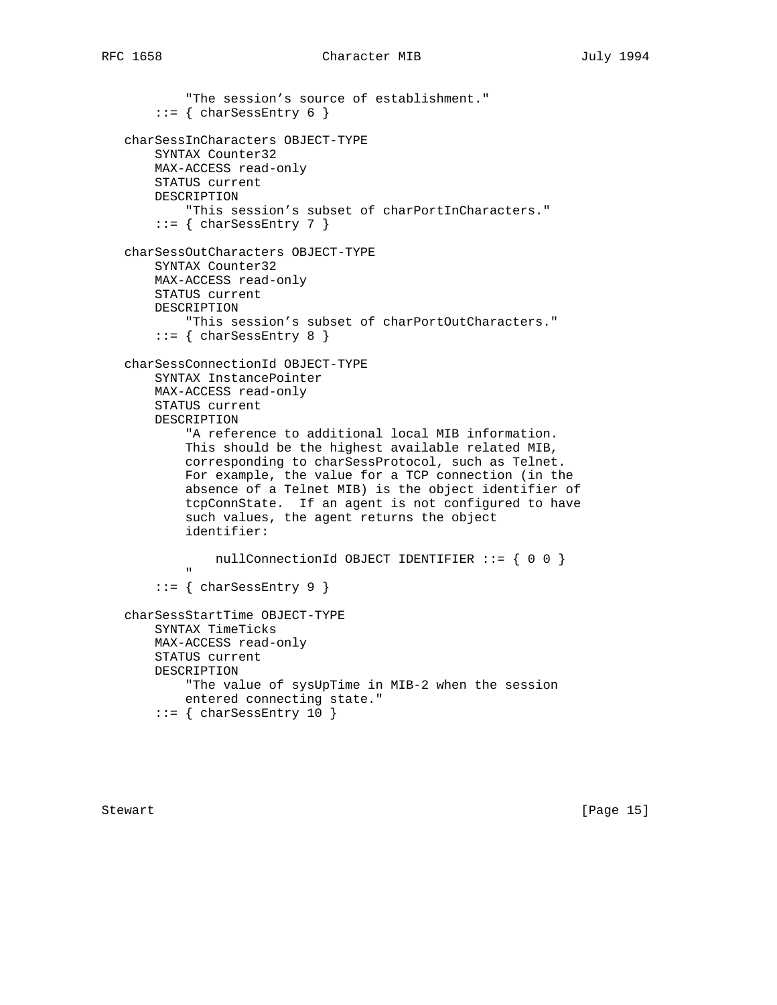```
 "The session's source of establishment."
        ::= { charSessEntry 6 }
    charSessInCharacters OBJECT-TYPE
         SYNTAX Counter32
         MAX-ACCESS read-only
         STATUS current
         DESCRIPTION
              "This session's subset of charPortInCharacters."
        ::= { charSessEntry 7 }
    charSessOutCharacters OBJECT-TYPE
         SYNTAX Counter32
         MAX-ACCESS read-only
         STATUS current
         DESCRIPTION
             "This session's subset of charPortOutCharacters."
        ::= { charSessEntry 8 }
    charSessConnectionId OBJECT-TYPE
         SYNTAX InstancePointer
         MAX-ACCESS read-only
         STATUS current
         DESCRIPTION
              "A reference to additional local MIB information.
              This should be the highest available related MIB,
              corresponding to charSessProtocol, such as Telnet.
              For example, the value for a TCP connection (in the
              absence of a Telnet MIB) is the object identifier of
              tcpConnState. If an agent is not configured to have
              such values, the agent returns the object
              identifier:
                  nullConnectionId OBJECT IDENTIFIER ::= { 0 0 }
" "The Contract of the Contract of the Contract of the Contract of the Contract of the Contract of the Contract of the Contract of the Contract of the Contract of the Contract of the Contract of the Contract of the Contrac
        ::= { charSessEntry 9 }
    charSessStartTime OBJECT-TYPE
         SYNTAX TimeTicks
         MAX-ACCESS read-only
         STATUS current
         DESCRIPTION
             "The value of sysUpTime in MIB-2 when the session
             entered connecting state."
        ::= { charSessEntry 10 }
```
Stewart [Page 15]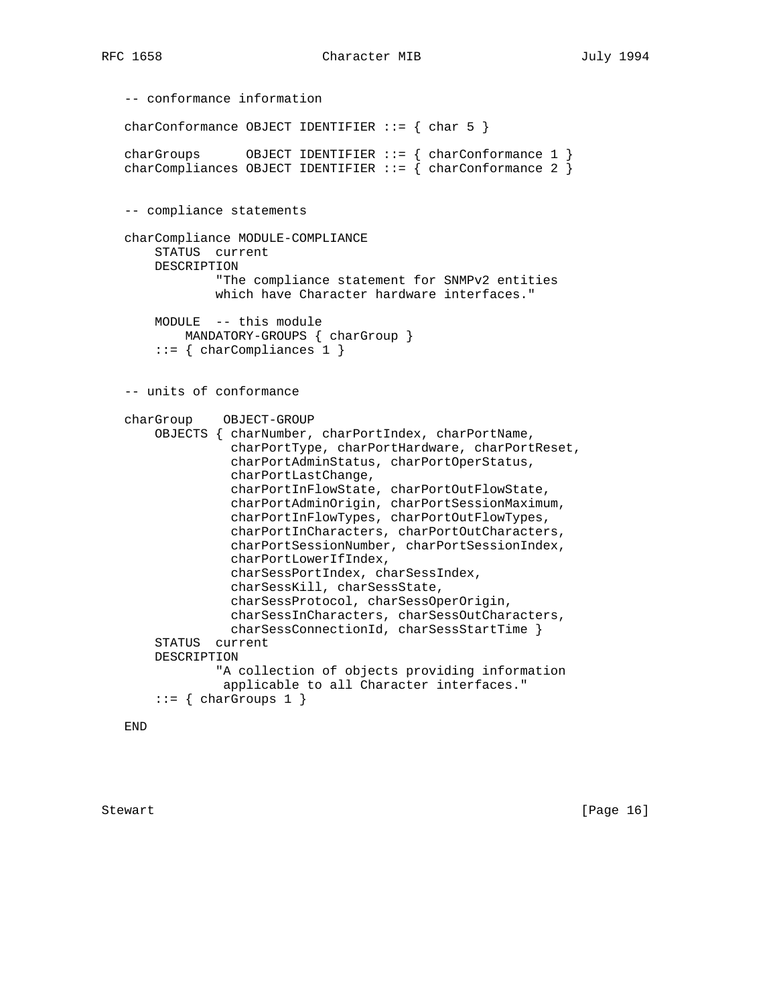```
 -- conformance information
  charConformance OBJECT IDENTIFIER ::= { char 5 }
 charGroups OBJECT IDENTIFIER ::= { charConformance 1 }
 charCompliances OBJECT IDENTIFIER ::= { charConformance 2 }
   -- compliance statements
   charCompliance MODULE-COMPLIANCE
       STATUS current
       DESCRIPTION
               "The compliance statement for SNMPv2 entities
                which have Character hardware interfaces."
       MODULE -- this module
          MANDATORY-GROUPS { charGroup }
        ::= { charCompliances 1 }
   -- units of conformance
   charGroup OBJECT-GROUP
       OBJECTS { charNumber, charPortIndex, charPortName,
                  charPortType, charPortHardware, charPortReset,
                  charPortAdminStatus, charPortOperStatus,
                  charPortLastChange,
                  charPortInFlowState, charPortOutFlowState,
                  charPortAdminOrigin, charPortSessionMaximum,
                  charPortInFlowTypes, charPortOutFlowTypes,
                  charPortInCharacters, charPortOutCharacters,
                  charPortSessionNumber, charPortSessionIndex,
                  charPortLowerIfIndex,
                  charSessPortIndex, charSessIndex,
                  charSessKill, charSessState,
                  charSessProtocol, charSessOperOrigin,
                  charSessInCharacters, charSessOutCharacters,
                  charSessConnectionId, charSessStartTime }
        STATUS current
       DESCRIPTION
                "A collection of objects providing information
                 applicable to all Character interfaces."
       ::= { charGroups 1 }
```
END

Stewart [Page 16]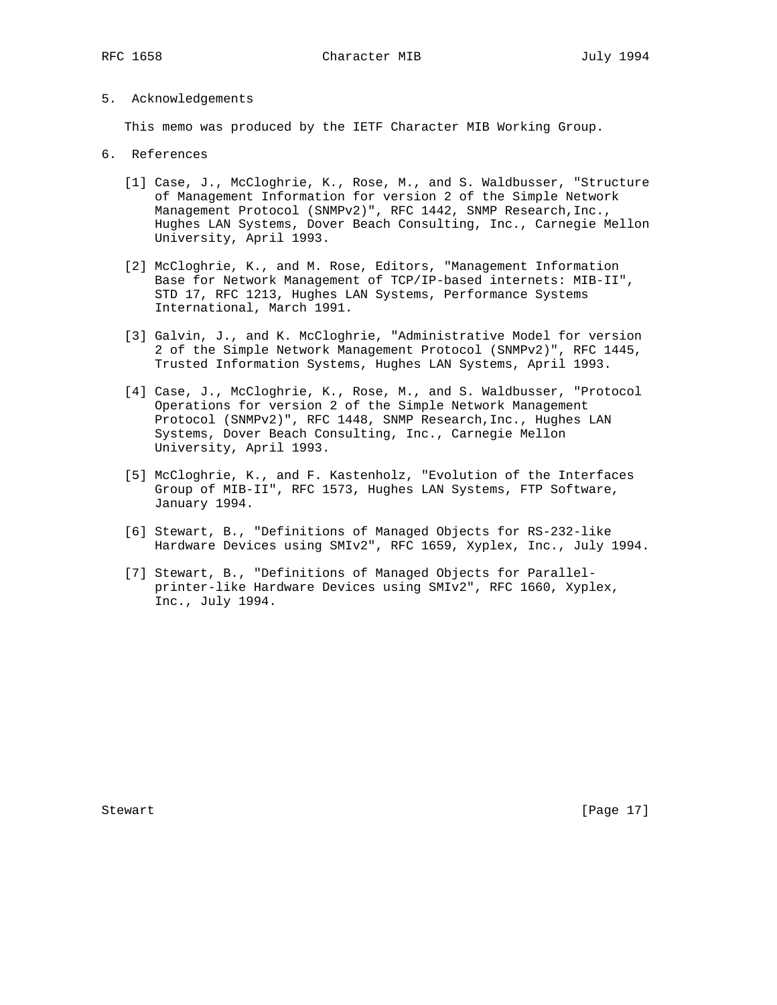5. Acknowledgements

This memo was produced by the IETF Character MIB Working Group.

- 6. References
	- [1] Case, J., McCloghrie, K., Rose, M., and S. Waldbusser, "Structure of Management Information for version 2 of the Simple Network Management Protocol (SNMPv2)", RFC 1442, SNMP Research, Inc., Hughes LAN Systems, Dover Beach Consulting, Inc., Carnegie Mellon University, April 1993.
	- [2] McCloghrie, K., and M. Rose, Editors, "Management Information Base for Network Management of TCP/IP-based internets: MIB-II", STD 17, RFC 1213, Hughes LAN Systems, Performance Systems International, March 1991.
	- [3] Galvin, J., and K. McCloghrie, "Administrative Model for version 2 of the Simple Network Management Protocol (SNMPv2)", RFC 1445, Trusted Information Systems, Hughes LAN Systems, April 1993.
	- [4] Case, J., McCloghrie, K., Rose, M., and S. Waldbusser, "Protocol Operations for version 2 of the Simple Network Management Protocol (SNMPv2)", RFC 1448, SNMP Research,Inc., Hughes LAN Systems, Dover Beach Consulting, Inc., Carnegie Mellon University, April 1993.
	- [5] McCloghrie, K., and F. Kastenholz, "Evolution of the Interfaces Group of MIB-II", RFC 1573, Hughes LAN Systems, FTP Software, January 1994.
	- [6] Stewart, B., "Definitions of Managed Objects for RS-232-like Hardware Devices using SMIv2", RFC 1659, Xyplex, Inc., July 1994.
	- [7] Stewart, B., "Definitions of Managed Objects for Parallel printer-like Hardware Devices using SMIv2", RFC 1660, Xyplex, Inc., July 1994.

Stewart [Page 17]